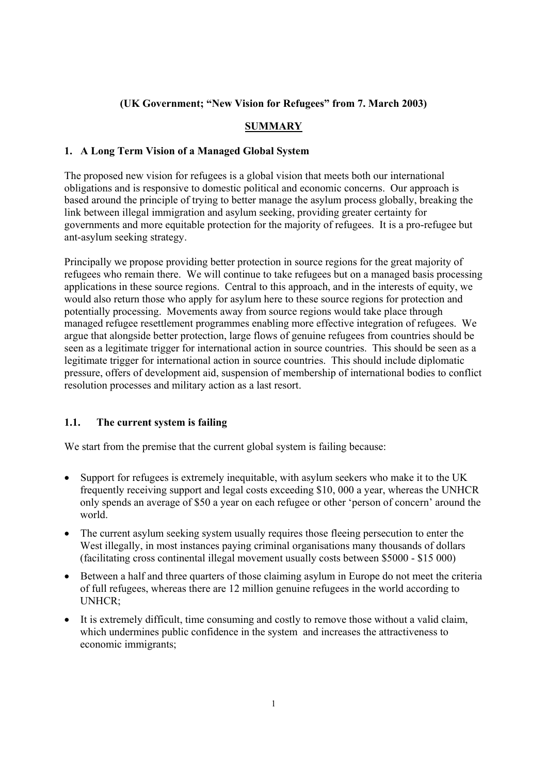# **(UK Government; "New Vision for Refugees" from 7. March 2003)**

# **SUMMARY**

## **1. A Long Term Vision of a Managed Global System**

The proposed new vision for refugees is a global vision that meets both our international obligations and is responsive to domestic political and economic concerns. Our approach is based around the principle of trying to better manage the asylum process globally, breaking the link between illegal immigration and asylum seeking, providing greater certainty for governments and more equitable protection for the majority of refugees. It is a pro-refugee but ant-asylum seeking strategy.

Principally we propose providing better protection in source regions for the great majority of refugees who remain there. We will continue to take refugees but on a managed basis processing applications in these source regions. Central to this approach, and in the interests of equity, we would also return those who apply for asylum here to these source regions for protection and potentially processing. Movements away from source regions would take place through managed refugee resettlement programmes enabling more effective integration of refugees. We argue that alongside better protection, large flows of genuine refugees from countries should be seen as a legitimate trigger for international action in source countries. This should be seen as a legitimate trigger for international action in source countries. This should include diplomatic pressure, offers of development aid, suspension of membership of international bodies to conflict resolution processes and military action as a last resort.

# **1.1. The current system is failing**

We start from the premise that the current global system is failing because:

- Support for refugees is extremely inequitable, with asylum seekers who make it to the UK frequently receiving support and legal costs exceeding \$10, 000 a year, whereas the UNHCR only spends an average of \$50 a year on each refugee or other 'person of concern' around the world.
- The current asylum seeking system usually requires those fleeing persecution to enter the West illegally, in most instances paying criminal organisations many thousands of dollars (facilitating cross continental illegal movement usually costs between \$5000 - \$15 000)
- Between a half and three quarters of those claiming asylum in Europe do not meet the criteria of full refugees, whereas there are 12 million genuine refugees in the world according to UNHCR;
- It is extremely difficult, time consuming and costly to remove those without a valid claim, which undermines public confidence in the system and increases the attractiveness to economic immigrants;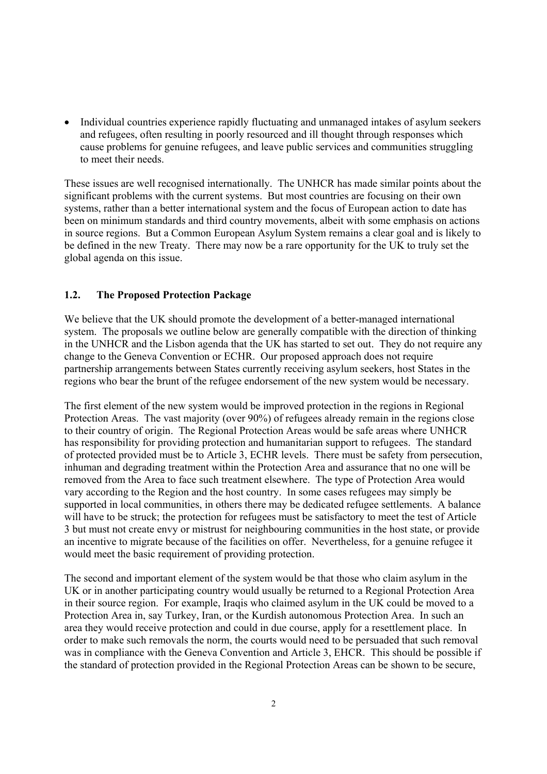• Individual countries experience rapidly fluctuating and unmanaged intakes of asylum seekers and refugees, often resulting in poorly resourced and ill thought through responses which cause problems for genuine refugees, and leave public services and communities struggling to meet their needs.

These issues are well recognised internationally. The UNHCR has made similar points about the significant problems with the current systems. But most countries are focusing on their own systems, rather than a better international system and the focus of European action to date has been on minimum standards and third country movements, albeit with some emphasis on actions in source regions. But a Common European Asylum System remains a clear goal and is likely to be defined in the new Treaty. There may now be a rare opportunity for the UK to truly set the global agenda on this issue.

#### **1.2. The Proposed Protection Package**

We believe that the UK should promote the development of a better-managed international system. The proposals we outline below are generally compatible with the direction of thinking in the UNHCR and the Lisbon agenda that the UK has started to set out. They do not require any change to the Geneva Convention or ECHR. Our proposed approach does not require partnership arrangements between States currently receiving asylum seekers, host States in the regions who bear the brunt of the refugee endorsement of the new system would be necessary.

The first element of the new system would be improved protection in the regions in Regional Protection Areas. The vast majority (over 90%) of refugees already remain in the regions close to their country of origin. The Regional Protection Areas would be safe areas where UNHCR has responsibility for providing protection and humanitarian support to refugees. The standard of protected provided must be to Article 3, ECHR levels. There must be safety from persecution, inhuman and degrading treatment within the Protection Area and assurance that no one will be removed from the Area to face such treatment elsewhere. The type of Protection Area would vary according to the Region and the host country. In some cases refugees may simply be supported in local communities, in others there may be dedicated refugee settlements. A balance will have to be struck; the protection for refugees must be satisfactory to meet the test of Article 3 but must not create envy or mistrust for neighbouring communities in the host state, or provide an incentive to migrate because of the facilities on offer. Nevertheless, for a genuine refugee it would meet the basic requirement of providing protection.

The second and important element of the system would be that those who claim asylum in the UK or in another participating country would usually be returned to a Regional Protection Area in their source region. For example, Iraqis who claimed asylum in the UK could be moved to a Protection Area in, say Turkey, Iran, or the Kurdish autonomous Protection Area. In such an area they would receive protection and could in due course, apply for a resettlement place. In order to make such removals the norm, the courts would need to be persuaded that such removal was in compliance with the Geneva Convention and Article 3, EHCR. This should be possible if the standard of protection provided in the Regional Protection Areas can be shown to be secure,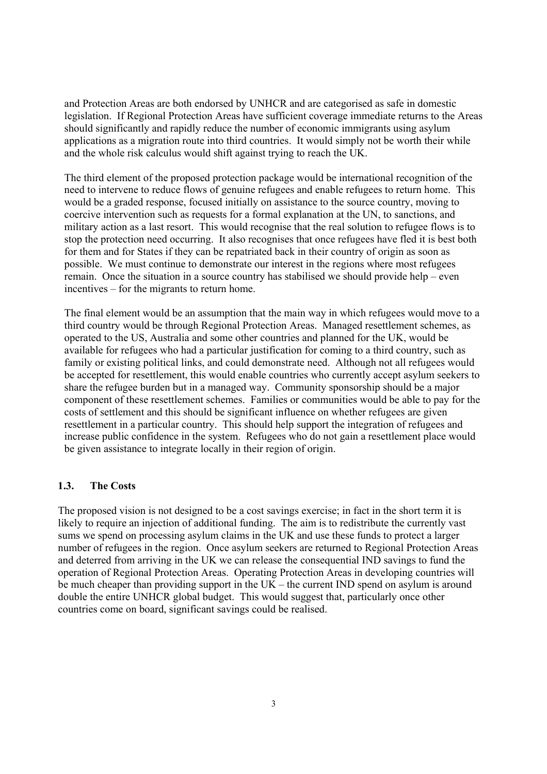and Protection Areas are both endorsed by UNHCR and are categorised as safe in domestic legislation. If Regional Protection Areas have sufficient coverage immediate returns to the Areas should significantly and rapidly reduce the number of economic immigrants using asylum applications as a migration route into third countries. It would simply not be worth their while and the whole risk calculus would shift against trying to reach the UK.

The third element of the proposed protection package would be international recognition of the need to intervene to reduce flows of genuine refugees and enable refugees to return home. This would be a graded response, focused initially on assistance to the source country, moving to coercive intervention such as requests for a formal explanation at the UN, to sanctions, and military action as a last resort. This would recognise that the real solution to refugee flows is to stop the protection need occurring. It also recognises that once refugees have fled it is best both for them and for States if they can be repatriated back in their country of origin as soon as possible. We must continue to demonstrate our interest in the regions where most refugees remain. Once the situation in a source country has stabilised we should provide help – even incentives – for the migrants to return home.

The final element would be an assumption that the main way in which refugees would move to a third country would be through Regional Protection Areas. Managed resettlement schemes, as operated to the US, Australia and some other countries and planned for the UK, would be available for refugees who had a particular justification for coming to a third country, such as family or existing political links, and could demonstrate need. Although not all refugees would be accepted for resettlement, this would enable countries who currently accept asylum seekers to share the refugee burden but in a managed way. Community sponsorship should be a major component of these resettlement schemes. Families or communities would be able to pay for the costs of settlement and this should be significant influence on whether refugees are given resettlement in a particular country. This should help support the integration of refugees and increase public confidence in the system. Refugees who do not gain a resettlement place would be given assistance to integrate locally in their region of origin.

## **1.3. The Costs**

The proposed vision is not designed to be a cost savings exercise; in fact in the short term it is likely to require an injection of additional funding. The aim is to redistribute the currently vast sums we spend on processing asylum claims in the UK and use these funds to protect a larger number of refugees in the region. Once asylum seekers are returned to Regional Protection Areas and deterred from arriving in the UK we can release the consequential IND savings to fund the operation of Regional Protection Areas. Operating Protection Areas in developing countries will be much cheaper than providing support in the  $UK$  – the current IND spend on asylum is around double the entire UNHCR global budget. This would suggest that, particularly once other countries come on board, significant savings could be realised.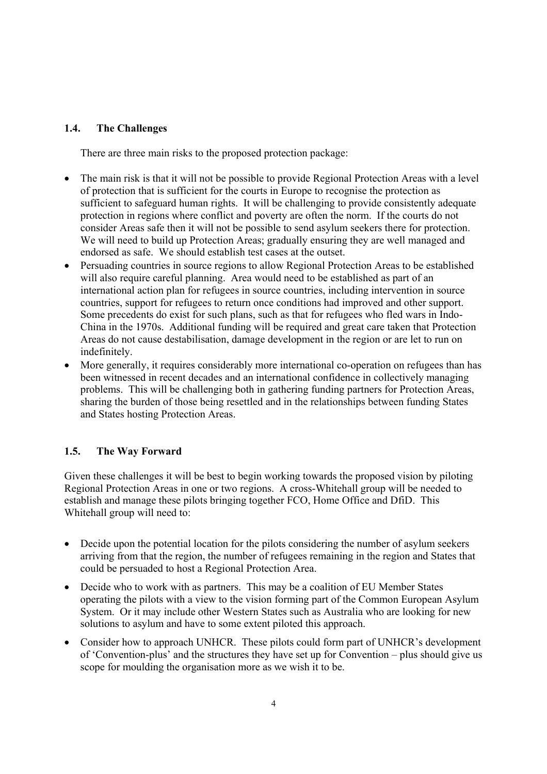## **1.4. The Challenges**

There are three main risks to the proposed protection package:

- The main risk is that it will not be possible to provide Regional Protection Areas with a level of protection that is sufficient for the courts in Europe to recognise the protection as sufficient to safeguard human rights. It will be challenging to provide consistently adequate protection in regions where conflict and poverty are often the norm. If the courts do not consider Areas safe then it will not be possible to send asylum seekers there for protection. We will need to build up Protection Areas: gradually ensuring they are well managed and endorsed as safe. We should establish test cases at the outset.
- Persuading countries in source regions to allow Regional Protection Areas to be established will also require careful planning. Area would need to be established as part of an international action plan for refugees in source countries, including intervention in source countries, support for refugees to return once conditions had improved and other support. Some precedents do exist for such plans, such as that for refugees who fled wars in Indo-China in the 1970s. Additional funding will be required and great care taken that Protection Areas do not cause destabilisation, damage development in the region or are let to run on indefinitely.
- More generally, it requires considerably more international co-operation on refugees than has been witnessed in recent decades and an international confidence in collectively managing problems. This will be challenging both in gathering funding partners for Protection Areas, sharing the burden of those being resettled and in the relationships between funding States and States hosting Protection Areas.

# **1.5. The Way Forward**

Given these challenges it will be best to begin working towards the proposed vision by piloting Regional Protection Areas in one or two regions. A cross-Whitehall group will be needed to establish and manage these pilots bringing together FCO, Home Office and DfiD. This Whitehall group will need to:

- Decide upon the potential location for the pilots considering the number of asylum seekers arriving from that the region, the number of refugees remaining in the region and States that could be persuaded to host a Regional Protection Area.
- Decide who to work with as partners. This may be a coalition of EU Member States operating the pilots with a view to the vision forming part of the Common European Asylum System. Or it may include other Western States such as Australia who are looking for new solutions to asylum and have to some extent piloted this approach.
- Consider how to approach UNHCR. These pilots could form part of UNHCR's development of 'Convention-plus' and the structures they have set up for Convention – plus should give us scope for moulding the organisation more as we wish it to be.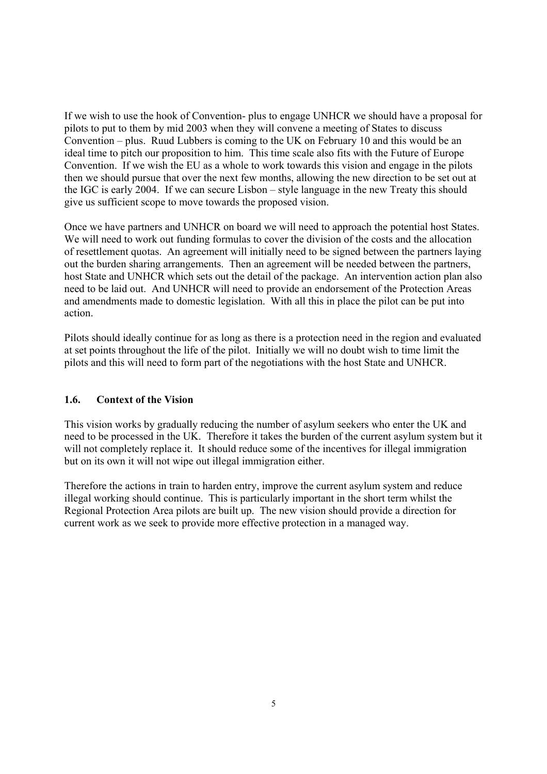If we wish to use the hook of Convention- plus to engage UNHCR we should have a proposal for pilots to put to them by mid 2003 when they will convene a meeting of States to discuss Convention – plus. Ruud Lubbers is coming to the UK on February 10 and this would be an ideal time to pitch our proposition to him. This time scale also fits with the Future of Europe Convention. If we wish the EU as a whole to work towards this vision and engage in the pilots then we should pursue that over the next few months, allowing the new direction to be set out at the IGC is early 2004. If we can secure Lisbon – style language in the new Treaty this should give us sufficient scope to move towards the proposed vision.

Once we have partners and UNHCR on board we will need to approach the potential host States. We will need to work out funding formulas to cover the division of the costs and the allocation of resettlement quotas. An agreement will initially need to be signed between the partners laying out the burden sharing arrangements. Then an agreement will be needed between the partners, host State and UNHCR which sets out the detail of the package. An intervention action plan also need to be laid out. And UNHCR will need to provide an endorsement of the Protection Areas and amendments made to domestic legislation. With all this in place the pilot can be put into action.

Pilots should ideally continue for as long as there is a protection need in the region and evaluated at set points throughout the life of the pilot. Initially we will no doubt wish to time limit the pilots and this will need to form part of the negotiations with the host State and UNHCR.

## **1.6. Context of the Vision**

This vision works by gradually reducing the number of asylum seekers who enter the UK and need to be processed in the UK. Therefore it takes the burden of the current asylum system but it will not completely replace it. It should reduce some of the incentives for illegal immigration but on its own it will not wipe out illegal immigration either.

Therefore the actions in train to harden entry, improve the current asylum system and reduce illegal working should continue. This is particularly important in the short term whilst the Regional Protection Area pilots are built up. The new vision should provide a direction for current work as we seek to provide more effective protection in a managed way.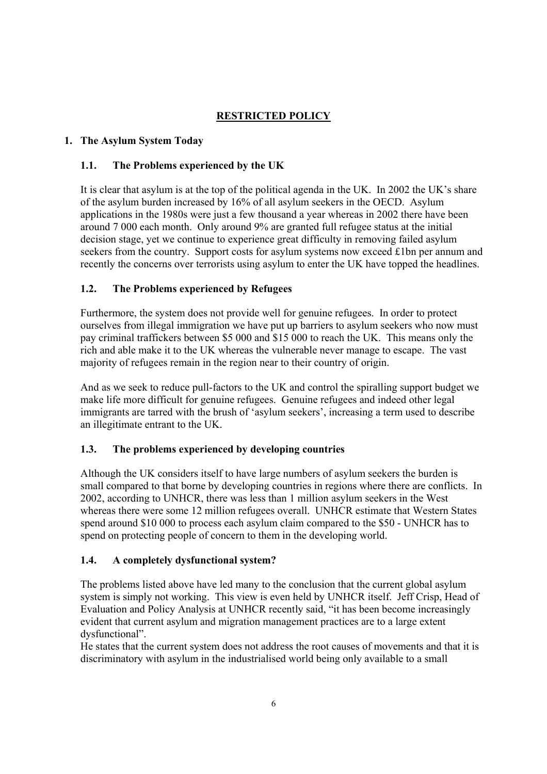# **RESTRICTED POLICY**

# **1. The Asylum System Today**

## **1.1. The Problems experienced by the UK**

It is clear that asylum is at the top of the political agenda in the UK. In 2002 the UK's share of the asylum burden increased by 16% of all asylum seekers in the OECD. Asylum applications in the 1980s were just a few thousand a year whereas in 2002 there have been around 7 000 each month. Only around 9% are granted full refugee status at the initial decision stage, yet we continue to experience great difficulty in removing failed asylum seekers from the country. Support costs for asylum systems now exceed £1bn per annum and recently the concerns over terrorists using asylum to enter the UK have topped the headlines.

## **1.2. The Problems experienced by Refugees**

Furthermore, the system does not provide well for genuine refugees. In order to protect ourselves from illegal immigration we have put up barriers to asylum seekers who now must pay criminal traffickers between \$5 000 and \$15 000 to reach the UK. This means only the rich and able make it to the UK whereas the vulnerable never manage to escape. The vast majority of refugees remain in the region near to their country of origin.

And as we seek to reduce pull-factors to the UK and control the spiralling support budget we make life more difficult for genuine refugees. Genuine refugees and indeed other legal immigrants are tarred with the brush of 'asylum seekers', increasing a term used to describe an illegitimate entrant to the UK.

## **1.3. The problems experienced by developing countries**

Although the UK considers itself to have large numbers of asylum seekers the burden is small compared to that borne by developing countries in regions where there are conflicts. In 2002, according to UNHCR, there was less than 1 million asylum seekers in the West whereas there were some 12 million refugees overall. UNHCR estimate that Western States spend around \$10 000 to process each asylum claim compared to the \$50 - UNHCR has to spend on protecting people of concern to them in the developing world.

# **1.4. A completely dysfunctional system?**

The problems listed above have led many to the conclusion that the current global asylum system is simply not working. This view is even held by UNHCR itself. Jeff Crisp, Head of Evaluation and Policy Analysis at UNHCR recently said, "it has been become increasingly evident that current asylum and migration management practices are to a large extent dysfunctional".

He states that the current system does not address the root causes of movements and that it is discriminatory with asylum in the industrialised world being only available to a small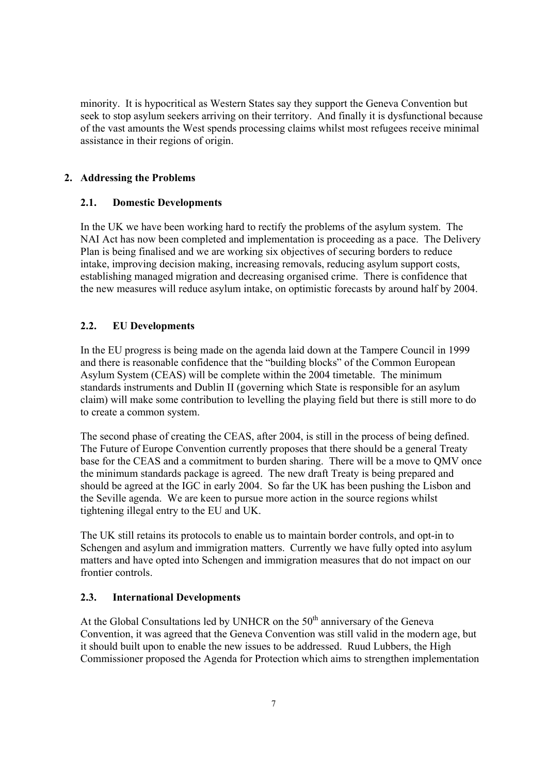minority. It is hypocritical as Western States say they support the Geneva Convention but seek to stop asylum seekers arriving on their territory. And finally it is dysfunctional because of the vast amounts the West spends processing claims whilst most refugees receive minimal assistance in their regions of origin.

# **2. Addressing the Problems**

## **2.1. Domestic Developments**

In the UK we have been working hard to rectify the problems of the asylum system. The NAI Act has now been completed and implementation is proceeding as a pace. The Delivery Plan is being finalised and we are working six objectives of securing borders to reduce intake, improving decision making, increasing removals, reducing asylum support costs, establishing managed migration and decreasing organised crime. There is confidence that the new measures will reduce asylum intake, on optimistic forecasts by around half by 2004.

# **2.2. EU Developments**

In the EU progress is being made on the agenda laid down at the Tampere Council in 1999 and there is reasonable confidence that the "building blocks" of the Common European Asylum System (CEAS) will be complete within the 2004 timetable. The minimum standards instruments and Dublin II (governing which State is responsible for an asylum claim) will make some contribution to levelling the playing field but there is still more to do to create a common system.

The second phase of creating the CEAS, after 2004, is still in the process of being defined. The Future of Europe Convention currently proposes that there should be a general Treaty base for the CEAS and a commitment to burden sharing. There will be a move to QMV once the minimum standards package is agreed. The new draft Treaty is being prepared and should be agreed at the IGC in early 2004. So far the UK has been pushing the Lisbon and the Seville agenda. We are keen to pursue more action in the source regions whilst tightening illegal entry to the EU and UK.

The UK still retains its protocols to enable us to maintain border controls, and opt-in to Schengen and asylum and immigration matters. Currently we have fully opted into asylum matters and have opted into Schengen and immigration measures that do not impact on our frontier controls.

## **2.3. International Developments**

At the Global Consultations led by UNHCR on the  $50<sup>th</sup>$  anniversary of the Geneva Convention, it was agreed that the Geneva Convention was still valid in the modern age, but it should built upon to enable the new issues to be addressed. Ruud Lubbers, the High Commissioner proposed the Agenda for Protection which aims to strengthen implementation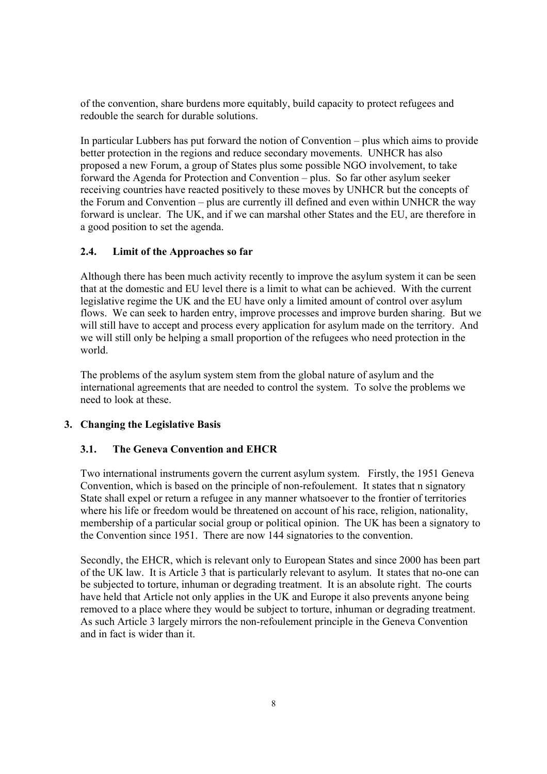of the convention, share burdens more equitably, build capacity to protect refugees and redouble the search for durable solutions.

In particular Lubbers has put forward the notion of Convention – plus which aims to provide better protection in the regions and reduce secondary movements. UNHCR has also proposed a new Forum, a group of States plus some possible NGO involvement, to take forward the Agenda for Protection and Convention – plus. So far other asylum seeker receiving countries have reacted positively to these moves by UNHCR but the concepts of the Forum and Convention – plus are currently ill defined and even within UNHCR the way forward is unclear. The UK, and if we can marshal other States and the EU, are therefore in a good position to set the agenda.

## **2.4. Limit of the Approaches so far**

Although there has been much activity recently to improve the asylum system it can be seen that at the domestic and EU level there is a limit to what can be achieved. With the current legislative regime the UK and the EU have only a limited amount of control over asylum flows. We can seek to harden entry, improve processes and improve burden sharing. But we will still have to accept and process every application for asylum made on the territory. And we will still only be helping a small proportion of the refugees who need protection in the world.

The problems of the asylum system stem from the global nature of asylum and the international agreements that are needed to control the system. To solve the problems we need to look at these.

## **3. Changing the Legislative Basis**

#### **3.1. The Geneva Convention and EHCR**

Two international instruments govern the current asylum system. Firstly, the 1951 Geneva Convention, which is based on the principle of non-refoulement. It states that n signatory State shall expel or return a refugee in any manner whatsoever to the frontier of territories where his life or freedom would be threatened on account of his race, religion, nationality, membership of a particular social group or political opinion. The UK has been a signatory to the Convention since 1951. There are now 144 signatories to the convention.

Secondly, the EHCR, which is relevant only to European States and since 2000 has been part of the UK law. It is Article 3 that is particularly relevant to asylum. It states that no-one can be subjected to torture, inhuman or degrading treatment. It is an absolute right. The courts have held that Article not only applies in the UK and Europe it also prevents anyone being removed to a place where they would be subject to torture, inhuman or degrading treatment. As such Article 3 largely mirrors the non-refoulement principle in the Geneva Convention and in fact is wider than it.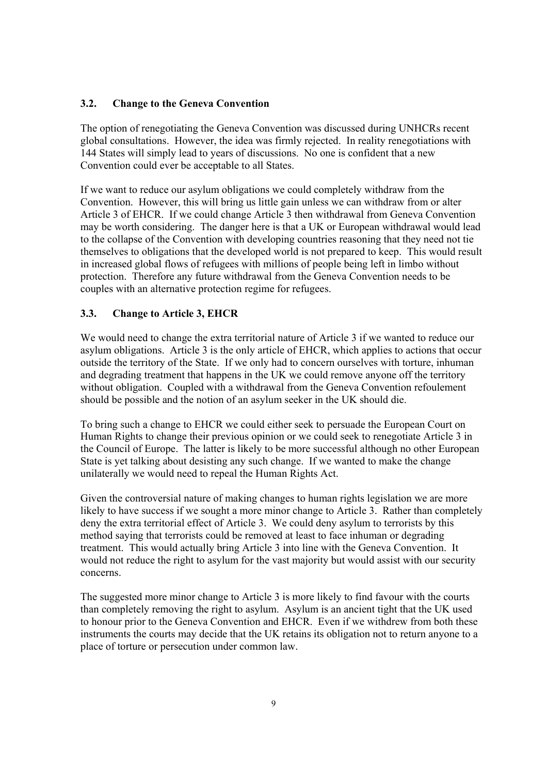## **3.2. Change to the Geneva Convention**

The option of renegotiating the Geneva Convention was discussed during UNHCRs recent global consultations. However, the idea was firmly rejected. In reality renegotiations with 144 States will simply lead to years of discussions. No one is confident that a new Convention could ever be acceptable to all States.

If we want to reduce our asylum obligations we could completely withdraw from the Convention. However, this will bring us little gain unless we can withdraw from or alter Article 3 of EHCR. If we could change Article 3 then withdrawal from Geneva Convention may be worth considering. The danger here is that a UK or European withdrawal would lead to the collapse of the Convention with developing countries reasoning that they need not tie themselves to obligations that the developed world is not prepared to keep. This would result in increased global flows of refugees with millions of people being left in limbo without protection. Therefore any future withdrawal from the Geneva Convention needs to be couples with an alternative protection regime for refugees.

## **3.3. Change to Article 3, EHCR**

We would need to change the extra territorial nature of Article 3 if we wanted to reduce our asylum obligations. Article 3 is the only article of EHCR, which applies to actions that occur outside the territory of the State. If we only had to concern ourselves with torture, inhuman and degrading treatment that happens in the UK we could remove anyone off the territory without obligation. Coupled with a withdrawal from the Geneva Convention refoulement should be possible and the notion of an asylum seeker in the UK should die.

To bring such a change to EHCR we could either seek to persuade the European Court on Human Rights to change their previous opinion or we could seek to renegotiate Article 3 in the Council of Europe. The latter is likely to be more successful although no other European State is yet talking about desisting any such change. If we wanted to make the change unilaterally we would need to repeal the Human Rights Act.

Given the controversial nature of making changes to human rights legislation we are more likely to have success if we sought a more minor change to Article 3. Rather than completely deny the extra territorial effect of Article 3. We could deny asylum to terrorists by this method saying that terrorists could be removed at least to face inhuman or degrading treatment. This would actually bring Article 3 into line with the Geneva Convention. It would not reduce the right to asylum for the vast majority but would assist with our security concerns.

The suggested more minor change to Article 3 is more likely to find favour with the courts than completely removing the right to asylum. Asylum is an ancient tight that the UK used to honour prior to the Geneva Convention and EHCR. Even if we withdrew from both these instruments the courts may decide that the UK retains its obligation not to return anyone to a place of torture or persecution under common law.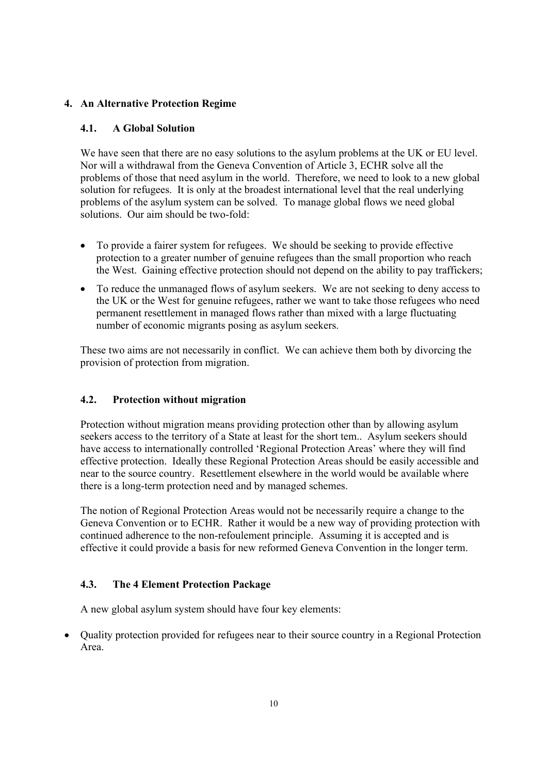# **4. An Alternative Protection Regime**

# **4.1. A Global Solution**

We have seen that there are no easy solutions to the asylum problems at the UK or EU level. Nor will a withdrawal from the Geneva Convention of Article 3, ECHR solve all the problems of those that need asylum in the world. Therefore, we need to look to a new global solution for refugees. It is only at the broadest international level that the real underlying problems of the asylum system can be solved. To manage global flows we need global solutions. Our aim should be two-fold:

- To provide a fairer system for refugees. We should be seeking to provide effective protection to a greater number of genuine refugees than the small proportion who reach the West. Gaining effective protection should not depend on the ability to pay traffickers;
- To reduce the unmanaged flows of asylum seekers. We are not seeking to deny access to the UK or the West for genuine refugees, rather we want to take those refugees who need permanent resettlement in managed flows rather than mixed with a large fluctuating number of economic migrants posing as asylum seekers.

These two aims are not necessarily in conflict. We can achieve them both by divorcing the provision of protection from migration.

# **4.2. Protection without migration**

Protection without migration means providing protection other than by allowing asylum seekers access to the territory of a State at least for the short tem.. Asylum seekers should have access to internationally controlled 'Regional Protection Areas' where they will find effective protection. Ideally these Regional Protection Areas should be easily accessible and near to the source country. Resettlement elsewhere in the world would be available where there is a long-term protection need and by managed schemes.

The notion of Regional Protection Areas would not be necessarily require a change to the Geneva Convention or to ECHR. Rather it would be a new way of providing protection with continued adherence to the non-refoulement principle. Assuming it is accepted and is effective it could provide a basis for new reformed Geneva Convention in the longer term.

# **4.3. The 4 Element Protection Package**

A new global asylum system should have four key elements:

• Quality protection provided for refugees near to their source country in a Regional Protection Area.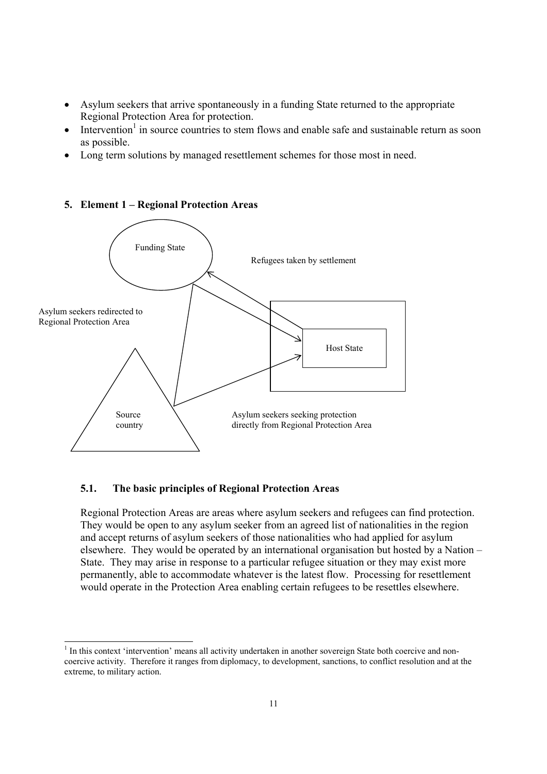- Asylum seekers that arrive spontaneously in a funding State returned to the appropriate Regional Protection Area for protection.
- $\bullet$  Intervention<sup>1</sup> in source countries to stem flows and enable safe and sustainable return as soon as possible.
- Long term solutions by managed resettlement schemes for those most in need.



### **5. Element 1 – Regional Protection Areas**

### **5.1. The basic principles of Regional Protection Areas**

 $\overline{a}$ 

Regional Protection Areas are areas where asylum seekers and refugees can find protection. They would be open to any asylum seeker from an agreed list of nationalities in the region and accept returns of asylum seekers of those nationalities who had applied for asylum elsewhere. They would be operated by an international organisation but hosted by a Nation – State. They may arise in response to a particular refugee situation or they may exist more permanently, able to accommodate whatever is the latest flow. Processing for resettlement would operate in the Protection Area enabling certain refugees to be resettles elsewhere.

 $<sup>1</sup>$  In this context 'intervention' means all activity undertaken in another sovereign State both coercive and non-</sup> coercive activity. Therefore it ranges from diplomacy, to development, sanctions, to conflict resolution and at the extreme, to military action.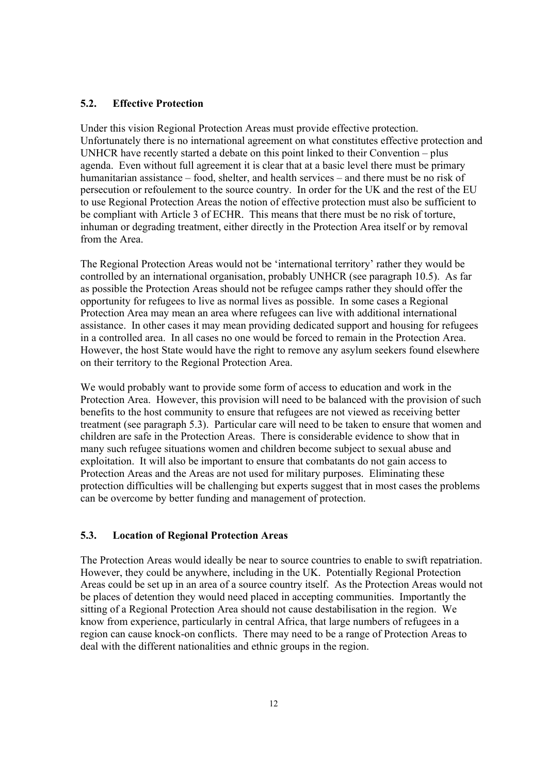### **5.2. Effective Protection**

Under this vision Regional Protection Areas must provide effective protection. Unfortunately there is no international agreement on what constitutes effective protection and UNHCR have recently started a debate on this point linked to their Convention – plus agenda. Even without full agreement it is clear that at a basic level there must be primary humanitarian assistance – food, shelter, and health services – and there must be no risk of persecution or refoulement to the source country. In order for the UK and the rest of the EU to use Regional Protection Areas the notion of effective protection must also be sufficient to be compliant with Article 3 of ECHR. This means that there must be no risk of torture, inhuman or degrading treatment, either directly in the Protection Area itself or by removal from the Area.

The Regional Protection Areas would not be 'international territory' rather they would be controlled by an international organisation, probably UNHCR (see paragraph 10.5). As far as possible the Protection Areas should not be refugee camps rather they should offer the opportunity for refugees to live as normal lives as possible. In some cases a Regional Protection Area may mean an area where refugees can live with additional international assistance. In other cases it may mean providing dedicated support and housing for refugees in a controlled area. In all cases no one would be forced to remain in the Protection Area. However, the host State would have the right to remove any asylum seekers found elsewhere on their territory to the Regional Protection Area.

We would probably want to provide some form of access to education and work in the Protection Area. However, this provision will need to be balanced with the provision of such benefits to the host community to ensure that refugees are not viewed as receiving better treatment (see paragraph 5.3). Particular care will need to be taken to ensure that women and children are safe in the Protection Areas. There is considerable evidence to show that in many such refugee situations women and children become subject to sexual abuse and exploitation. It will also be important to ensure that combatants do not gain access to Protection Areas and the Areas are not used for military purposes. Eliminating these protection difficulties will be challenging but experts suggest that in most cases the problems can be overcome by better funding and management of protection.

## **5.3. Location of Regional Protection Areas**

The Protection Areas would ideally be near to source countries to enable to swift repatriation. However, they could be anywhere, including in the UK. Potentially Regional Protection Areas could be set up in an area of a source country itself. As the Protection Areas would not be places of detention they would need placed in accepting communities. Importantly the sitting of a Regional Protection Area should not cause destabilisation in the region. We know from experience, particularly in central Africa, that large numbers of refugees in a region can cause knock-on conflicts. There may need to be a range of Protection Areas to deal with the different nationalities and ethnic groups in the region.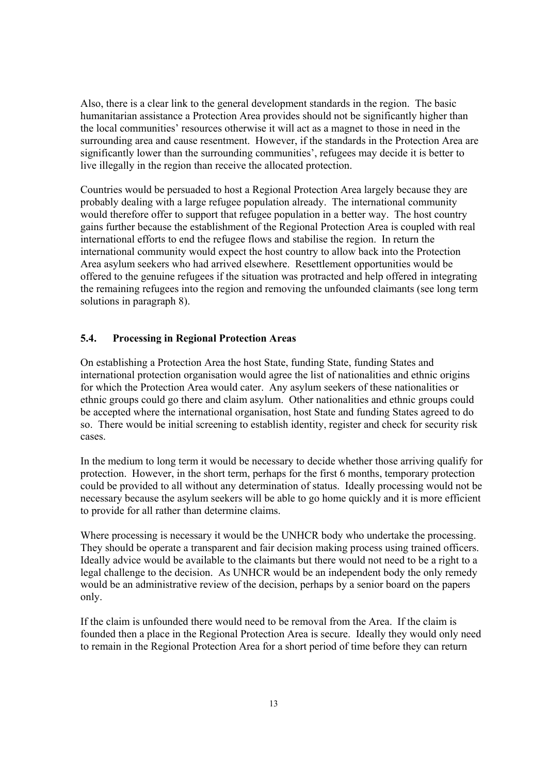Also, there is a clear link to the general development standards in the region. The basic humanitarian assistance a Protection Area provides should not be significantly higher than the local communities' resources otherwise it will act as a magnet to those in need in the surrounding area and cause resentment. However, if the standards in the Protection Area are significantly lower than the surrounding communities', refugees may decide it is better to live illegally in the region than receive the allocated protection.

Countries would be persuaded to host a Regional Protection Area largely because they are probably dealing with a large refugee population already. The international community would therefore offer to support that refugee population in a better way. The host country gains further because the establishment of the Regional Protection Area is coupled with real international efforts to end the refugee flows and stabilise the region. In return the international community would expect the host country to allow back into the Protection Area asylum seekers who had arrived elsewhere. Resettlement opportunities would be offered to the genuine refugees if the situation was protracted and help offered in integrating the remaining refugees into the region and removing the unfounded claimants (see long term solutions in paragraph 8).

### **5.4. Processing in Regional Protection Areas**

On establishing a Protection Area the host State, funding State, funding States and international protection organisation would agree the list of nationalities and ethnic origins for which the Protection Area would cater. Any asylum seekers of these nationalities or ethnic groups could go there and claim asylum. Other nationalities and ethnic groups could be accepted where the international organisation, host State and funding States agreed to do so. There would be initial screening to establish identity, register and check for security risk cases.

In the medium to long term it would be necessary to decide whether those arriving qualify for protection. However, in the short term, perhaps for the first 6 months, temporary protection could be provided to all without any determination of status. Ideally processing would not be necessary because the asylum seekers will be able to go home quickly and it is more efficient to provide for all rather than determine claims.

Where processing is necessary it would be the UNHCR body who undertake the processing. They should be operate a transparent and fair decision making process using trained officers. Ideally advice would be available to the claimants but there would not need to be a right to a legal challenge to the decision. As UNHCR would be an independent body the only remedy would be an administrative review of the decision, perhaps by a senior board on the papers only.

If the claim is unfounded there would need to be removal from the Area. If the claim is founded then a place in the Regional Protection Area is secure. Ideally they would only need to remain in the Regional Protection Area for a short period of time before they can return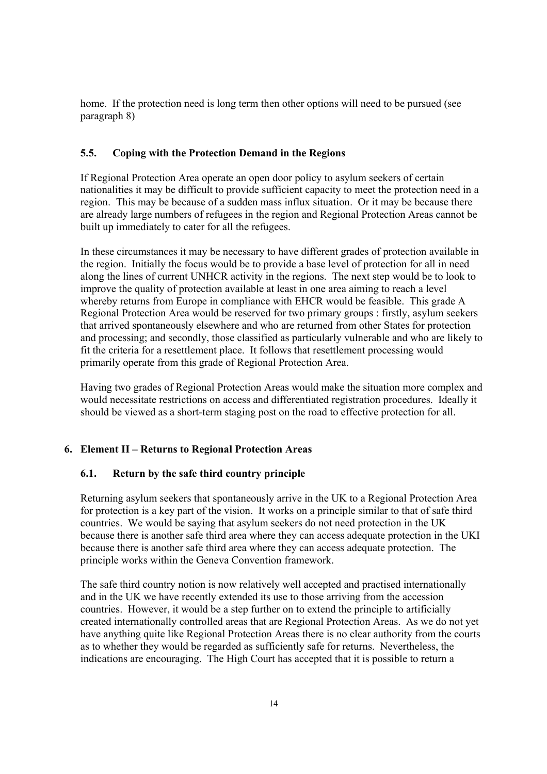home. If the protection need is long term then other options will need to be pursued (see paragraph 8)

### **5.5. Coping with the Protection Demand in the Regions**

If Regional Protection Area operate an open door policy to asylum seekers of certain nationalities it may be difficult to provide sufficient capacity to meet the protection need in a region. This may be because of a sudden mass influx situation. Or it may be because there are already large numbers of refugees in the region and Regional Protection Areas cannot be built up immediately to cater for all the refugees.

In these circumstances it may be necessary to have different grades of protection available in the region. Initially the focus would be to provide a base level of protection for all in need along the lines of current UNHCR activity in the regions. The next step would be to look to improve the quality of protection available at least in one area aiming to reach a level whereby returns from Europe in compliance with EHCR would be feasible. This grade A Regional Protection Area would be reserved for two primary groups : firstly, asylum seekers that arrived spontaneously elsewhere and who are returned from other States for protection and processing; and secondly, those classified as particularly vulnerable and who are likely to fit the criteria for a resettlement place. It follows that resettlement processing would primarily operate from this grade of Regional Protection Area.

Having two grades of Regional Protection Areas would make the situation more complex and would necessitate restrictions on access and differentiated registration procedures. Ideally it should be viewed as a short-term staging post on the road to effective protection for all.

## **6. Element II – Returns to Regional Protection Areas**

#### **6.1. Return by the safe third country principle**

Returning asylum seekers that spontaneously arrive in the UK to a Regional Protection Area for protection is a key part of the vision. It works on a principle similar to that of safe third countries. We would be saying that asylum seekers do not need protection in the UK because there is another safe third area where they can access adequate protection in the UKI because there is another safe third area where they can access adequate protection. The principle works within the Geneva Convention framework.

The safe third country notion is now relatively well accepted and practised internationally and in the UK we have recently extended its use to those arriving from the accession countries. However, it would be a step further on to extend the principle to artificially created internationally controlled areas that are Regional Protection Areas. As we do not yet have anything quite like Regional Protection Areas there is no clear authority from the courts as to whether they would be regarded as sufficiently safe for returns. Nevertheless, the indications are encouraging. The High Court has accepted that it is possible to return a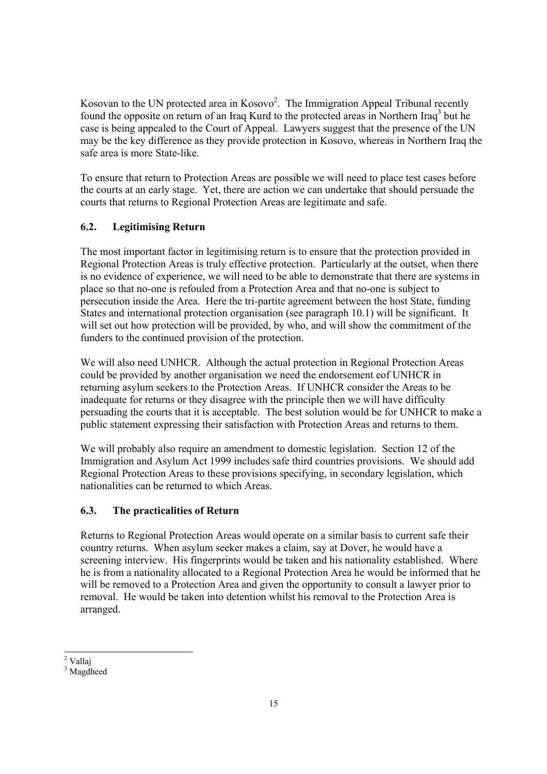Kosovan to the UN protected area in  $Kosovo<sup>2</sup>$ . The Immigration Appeal Tribunal recently found the opposite on return of an Iraq Kurd to the protected areas in Northern Iraq<sup>3</sup> but he case is being appealed to the Court of Appeal. Lawyers suggest that the presence of the UN may be the key difference as they provide protection in Kosovo, whereas in Northern Iraq the safe area is more State-like.

To ensure that return to Protection Areas are possible we will need to place test cases before the courts at an early stage. Yet, there are action we can undertake that should persuade the courts that returns to Regional Protection Areas are legitimate and safe.

# **6.2. Legitimising Return**

The most important factor in legitimising return is to ensure that the protection provided in Regional Protection Areas is truly effective protection. Particularly at the outset, when there is no evidence of experience, we will need to be able to demonstrate that there are systems in place so that no-one is refouled from a Protection Area and that no-one is subject to persecution inside the Area. Here the tri-partite agreement between the host State, funding States and international protection organisation (see paragraph 10.1) will be significant. It will set out how protection will be provided, by who, and will show the commitment of the funders to the continued provision of the protection.

We will also need UNHCR. Although the actual protection in Regional Protection Areas could be provided by another organisation we need the endorsement eof UNHCR in returning asylum seekers to the Protection Areas. If UNHCR consider the Areas to be inadequate for returns or they disagree with the principle then we will have difficulty persuading the courts that it is acceptable. The best solution would be for UNHCR to make a public statement expressing their satisfaction with Protection Areas and returns to them.

We will probably also require an amendment to domestic legislation. Section 12 of the Immigration and Asylum Act 1999 includes safe third countries provisions. We should add Regional Protection Areas to these provisions specifying, in secondary legislation, which nationalities can be returned to which Areas.

# **6.3. The practicalities of Return**

Returns to Regional Protection Areas would operate on a similar basis to current safe their country returns. When asylum seeker makes a claim, say at Dover, he would have a screening interview. His fingerprints would be taken and his nationality established. Where he is from a nationality allocated to a Regional Protection Area he would be informed that he will be removed to a Protection Area and given the opportunity to consult a lawyer prior to removal. He would be taken into detention whilst his removal to the Protection Area is arranged.

<sup>1</sup> <sup>2</sup> Vallaj

<sup>&</sup>lt;sup>3</sup> Magdheed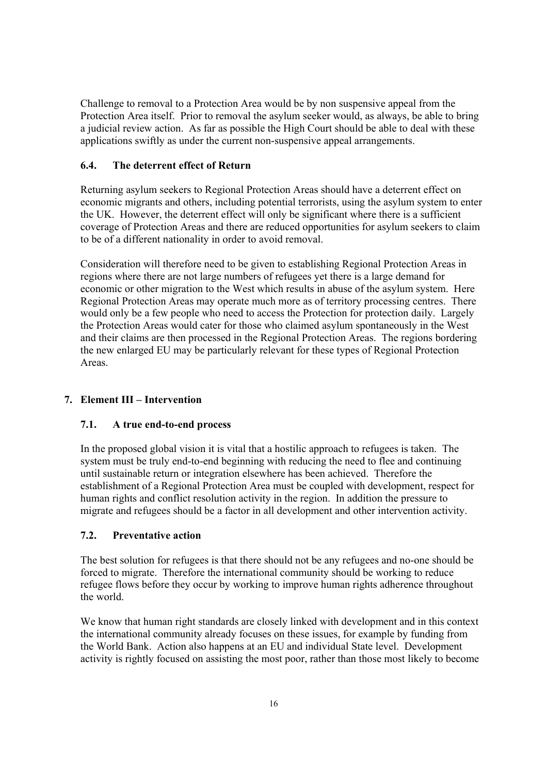Challenge to removal to a Protection Area would be by non suspensive appeal from the Protection Area itself. Prior to removal the asylum seeker would, as always, be able to bring a judicial review action. As far as possible the High Court should be able to deal with these applications swiftly as under the current non-suspensive appeal arrangements.

## **6.4. The deterrent effect of Return**

Returning asylum seekers to Regional Protection Areas should have a deterrent effect on economic migrants and others, including potential terrorists, using the asylum system to enter the UK. However, the deterrent effect will only be significant where there is a sufficient coverage of Protection Areas and there are reduced opportunities for asylum seekers to claim to be of a different nationality in order to avoid removal.

Consideration will therefore need to be given to establishing Regional Protection Areas in regions where there are not large numbers of refugees yet there is a large demand for economic or other migration to the West which results in abuse of the asylum system. Here Regional Protection Areas may operate much more as of territory processing centres. There would only be a few people who need to access the Protection for protection daily. Largely the Protection Areas would cater for those who claimed asylum spontaneously in the West and their claims are then processed in the Regional Protection Areas. The regions bordering the new enlarged EU may be particularly relevant for these types of Regional Protection **Areas** 

#### **7. Element III – Intervention**

#### **7.1. A true end-to-end process**

In the proposed global vision it is vital that a hostilic approach to refugees is taken. The system must be truly end-to-end beginning with reducing the need to flee and continuing until sustainable return or integration elsewhere has been achieved. Therefore the establishment of a Regional Protection Area must be coupled with development, respect for human rights and conflict resolution activity in the region. In addition the pressure to migrate and refugees should be a factor in all development and other intervention activity.

## **7.2. Preventative action**

The best solution for refugees is that there should not be any refugees and no-one should be forced to migrate. Therefore the international community should be working to reduce refugee flows before they occur by working to improve human rights adherence throughout the world.

We know that human right standards are closely linked with development and in this context the international community already focuses on these issues, for example by funding from the World Bank. Action also happens at an EU and individual State level. Development activity is rightly focused on assisting the most poor, rather than those most likely to become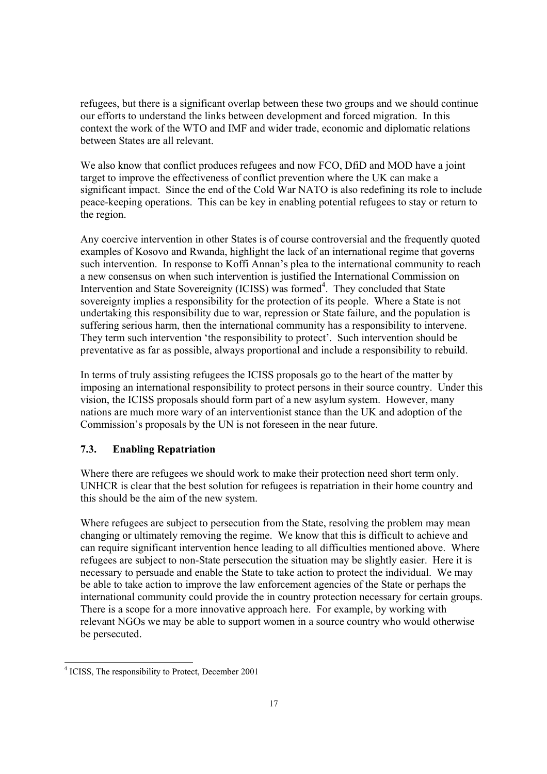refugees, but there is a significant overlap between these two groups and we should continue our efforts to understand the links between development and forced migration. In this context the work of the WTO and IMF and wider trade, economic and diplomatic relations between States are all relevant.

We also know that conflict produces refugees and now FCO, DfiD and MOD have a joint target to improve the effectiveness of conflict prevention where the UK can make a significant impact. Since the end of the Cold War NATO is also redefining its role to include peace-keeping operations. This can be key in enabling potential refugees to stay or return to the region.

Any coercive intervention in other States is of course controversial and the frequently quoted examples of Kosovo and Rwanda, highlight the lack of an international regime that governs such intervention. In response to Koffi Annan's plea to the international community to reach a new consensus on when such intervention is justified the International Commission on Intervention and State Sovereignity (ICISS) was formed<sup>4</sup>. They concluded that State sovereignty implies a responsibility for the protection of its people. Where a State is not undertaking this responsibility due to war, repression or State failure, and the population is suffering serious harm, then the international community has a responsibility to intervene. They term such intervention 'the responsibility to protect'. Such intervention should be preventative as far as possible, always proportional and include a responsibility to rebuild.

In terms of truly assisting refugees the ICISS proposals go to the heart of the matter by imposing an international responsibility to protect persons in their source country. Under this vision, the ICISS proposals should form part of a new asylum system. However, many nations are much more wary of an interventionist stance than the UK and adoption of the Commission's proposals by the UN is not foreseen in the near future.

## **7.3. Enabling Repatriation**

Where there are refugees we should work to make their protection need short term only. UNHCR is clear that the best solution for refugees is repatriation in their home country and this should be the aim of the new system.

Where refugees are subject to persecution from the State, resolving the problem may mean changing or ultimately removing the regime. We know that this is difficult to achieve and can require significant intervention hence leading to all difficulties mentioned above. Where refugees are subject to non-State persecution the situation may be slightly easier. Here it is necessary to persuade and enable the State to take action to protect the individual. We may be able to take action to improve the law enforcement agencies of the State or perhaps the international community could provide the in country protection necessary for certain groups. There is a scope for a more innovative approach here. For example, by working with relevant NGOs we may be able to support women in a source country who would otherwise be persecuted.

1

<sup>&</sup>lt;sup>4</sup> ICISS, The responsibility to Protect, December 2001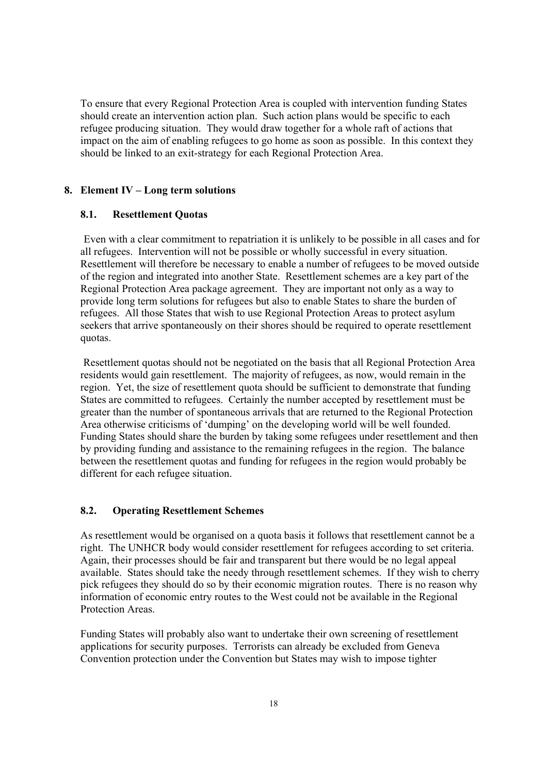To ensure that every Regional Protection Area is coupled with intervention funding States should create an intervention action plan. Such action plans would be specific to each refugee producing situation. They would draw together for a whole raft of actions that impact on the aim of enabling refugees to go home as soon as possible. In this context they should be linked to an exit-strategy for each Regional Protection Area.

### **8. Element IV – Long term solutions**

### **8.1. Resettlement Quotas**

Even with a clear commitment to repatriation it is unlikely to be possible in all cases and for all refugees. Intervention will not be possible or wholly successful in every situation. Resettlement will therefore be necessary to enable a number of refugees to be moved outside of the region and integrated into another State. Resettlement schemes are a key part of the Regional Protection Area package agreement. They are important not only as a way to provide long term solutions for refugees but also to enable States to share the burden of refugees. All those States that wish to use Regional Protection Areas to protect asylum seekers that arrive spontaneously on their shores should be required to operate resettlement quotas.

Resettlement quotas should not be negotiated on the basis that all Regional Protection Area residents would gain resettlement. The majority of refugees, as now, would remain in the region. Yet, the size of resettlement quota should be sufficient to demonstrate that funding States are committed to refugees. Certainly the number accepted by resettlement must be greater than the number of spontaneous arrivals that are returned to the Regional Protection Area otherwise criticisms of 'dumping' on the developing world will be well founded. Funding States should share the burden by taking some refugees under resettlement and then by providing funding and assistance to the remaining refugees in the region. The balance between the resettlement quotas and funding for refugees in the region would probably be different for each refugee situation.

### **8.2. Operating Resettlement Schemes**

As resettlement would be organised on a quota basis it follows that resettlement cannot be a right. The UNHCR body would consider resettlement for refugees according to set criteria. Again, their processes should be fair and transparent but there would be no legal appeal available. States should take the needy through resettlement schemes. If they wish to cherry pick refugees they should do so by their economic migration routes. There is no reason why information of economic entry routes to the West could not be available in the Regional Protection Areas.

Funding States will probably also want to undertake their own screening of resettlement applications for security purposes. Terrorists can already be excluded from Geneva Convention protection under the Convention but States may wish to impose tighter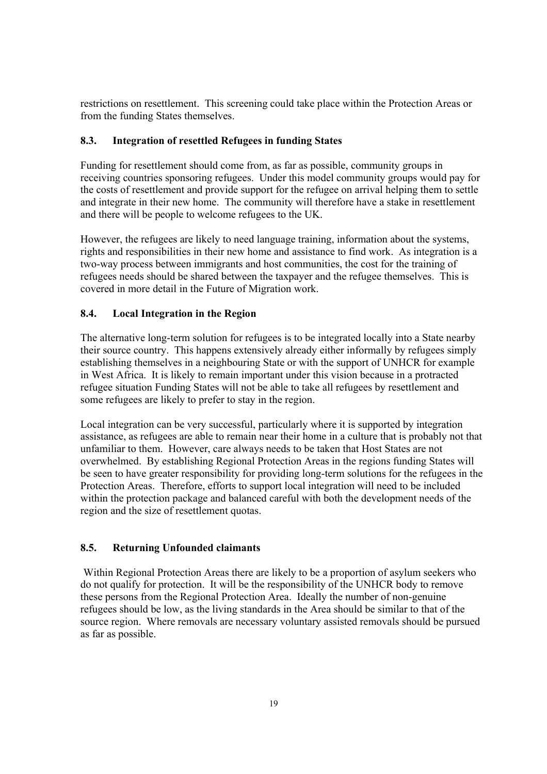restrictions on resettlement. This screening could take place within the Protection Areas or from the funding States themselves.

## **8.3. Integration of resettled Refugees in funding States**

Funding for resettlement should come from, as far as possible, community groups in receiving countries sponsoring refugees. Under this model community groups would pay for the costs of resettlement and provide support for the refugee on arrival helping them to settle and integrate in their new home. The community will therefore have a stake in resettlement and there will be people to welcome refugees to the UK.

However, the refugees are likely to need language training, information about the systems, rights and responsibilities in their new home and assistance to find work. As integration is a two-way process between immigrants and host communities, the cost for the training of refugees needs should be shared between the taxpayer and the refugee themselves. This is covered in more detail in the Future of Migration work.

## **8.4. Local Integration in the Region**

The alternative long-term solution for refugees is to be integrated locally into a State nearby their source country. This happens extensively already either informally by refugees simply establishing themselves in a neighbouring State or with the support of UNHCR for example in West Africa. It is likely to remain important under this vision because in a protracted refugee situation Funding States will not be able to take all refugees by resettlement and some refugees are likely to prefer to stay in the region.

Local integration can be very successful, particularly where it is supported by integration assistance, as refugees are able to remain near their home in a culture that is probably not that unfamiliar to them. However, care always needs to be taken that Host States are not overwhelmed. By establishing Regional Protection Areas in the regions funding States will be seen to have greater responsibility for providing long-term solutions for the refugees in the Protection Areas. Therefore, efforts to support local integration will need to be included within the protection package and balanced careful with both the development needs of the region and the size of resettlement quotas.

## **8.5. Returning Unfounded claimants**

Within Regional Protection Areas there are likely to be a proportion of asylum seekers who do not qualify for protection. It will be the responsibility of the UNHCR body to remove these persons from the Regional Protection Area. Ideally the number of non-genuine refugees should be low, as the living standards in the Area should be similar to that of the source region. Where removals are necessary voluntary assisted removals should be pursued as far as possible.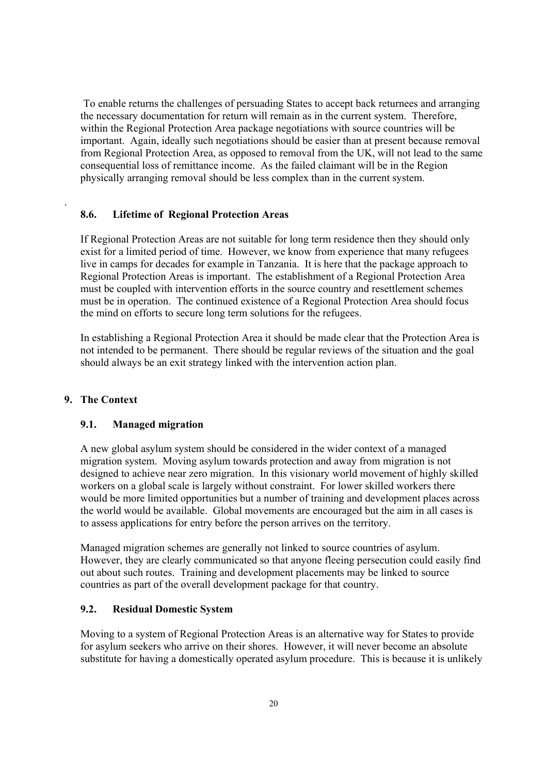To enable returns the challenges of persuading States to accept back returnees and arranging the necessary documentation for return will remain as in the current system. Therefore, within the Regional Protection Area package negotiations with source countries will be important. Again, ideally such negotiations should be easier than at present because removal from Regional Protection Area, as opposed to removal from the UK, will not lead to the same consequential loss of remittance income. As the failed claimant will be in the Region physically arranging removal should be less complex than in the current system.

### **8.6. Lifetime of Regional Protection Areas**

If Regional Protection Areas are not suitable for long term residence then they should only exist for a limited period of time. However, we know from experience that many refugees live in camps for decades for example in Tanzania. It is here that the package approach to Regional Protection Areas is important. The establishment of a Regional Protection Area must be coupled with intervention efforts in the source country and resettlement schemes must be in operation. The continued existence of a Regional Protection Area should focus the mind on efforts to secure long term solutions for the refugees.

In establishing a Regional Protection Area it should be made clear that the Protection Area is not intended to be permanent. There should be regular reviews of the situation and the goal should always be an exit strategy linked with the intervention action plan.

#### **9. The Context**

.

#### **9.1. Managed migration**

A new global asylum system should be considered in the wider context of a managed migration system. Moving asylum towards protection and away from migration is not designed to achieve near zero migration. In this visionary world movement of highly skilled workers on a global scale is largely without constraint. For lower skilled workers there would be more limited opportunities but a number of training and development places across the world would be available. Global movements are encouraged but the aim in all cases is to assess applications for entry before the person arrives on the territory.

Managed migration schemes are generally not linked to source countries of asylum. However, they are clearly communicated so that anyone fleeing persecution could easily find out about such routes. Training and development placements may be linked to source countries as part of the overall development package for that country.

#### **9.2. Residual Domestic System**

Moving to a system of Regional Protection Areas is an alternative way for States to provide for asylum seekers who arrive on their shores. However, it will never become an absolute substitute for having a domestically operated asylum procedure. This is because it is unlikely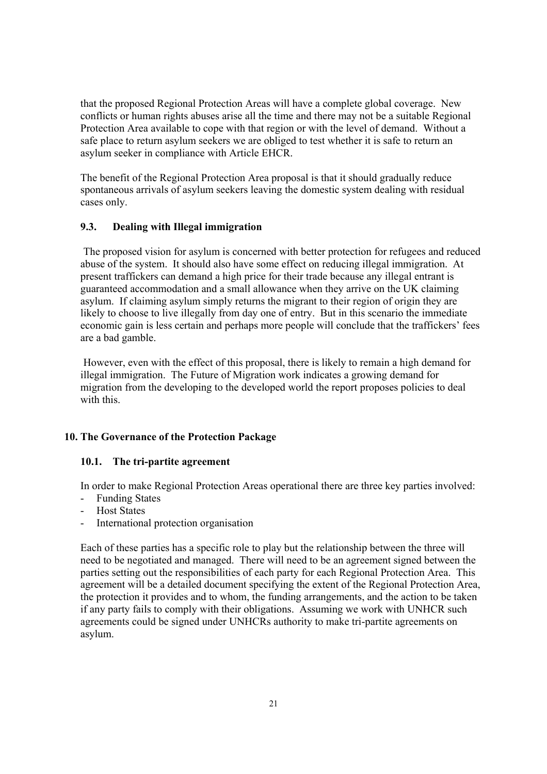that the proposed Regional Protection Areas will have a complete global coverage. New conflicts or human rights abuses arise all the time and there may not be a suitable Regional Protection Area available to cope with that region or with the level of demand. Without a safe place to return asylum seekers we are obliged to test whether it is safe to return an asylum seeker in compliance with Article EHCR.

The benefit of the Regional Protection Area proposal is that it should gradually reduce spontaneous arrivals of asylum seekers leaving the domestic system dealing with residual cases only.

## **9.3. Dealing with Illegal immigration**

The proposed vision for asylum is concerned with better protection for refugees and reduced abuse of the system. It should also have some effect on reducing illegal immigration. At present traffickers can demand a high price for their trade because any illegal entrant is guaranteed accommodation and a small allowance when they arrive on the UK claiming asylum. If claiming asylum simply returns the migrant to their region of origin they are likely to choose to live illegally from day one of entry. But in this scenario the immediate economic gain is less certain and perhaps more people will conclude that the traffickers' fees are a bad gamble.

However, even with the effect of this proposal, there is likely to remain a high demand for illegal immigration. The Future of Migration work indicates a growing demand for migration from the developing to the developed world the report proposes policies to deal with this.

#### **10. The Governance of the Protection Package**

#### **10.1. The tri-partite agreement**

In order to make Regional Protection Areas operational there are three key parties involved:

- Funding States
- Host States
- International protection organisation

Each of these parties has a specific role to play but the relationship between the three will need to be negotiated and managed. There will need to be an agreement signed between the parties setting out the responsibilities of each party for each Regional Protection Area. This agreement will be a detailed document specifying the extent of the Regional Protection Area, the protection it provides and to whom, the funding arrangements, and the action to be taken if any party fails to comply with their obligations. Assuming we work with UNHCR such agreements could be signed under UNHCRs authority to make tri-partite agreements on asylum.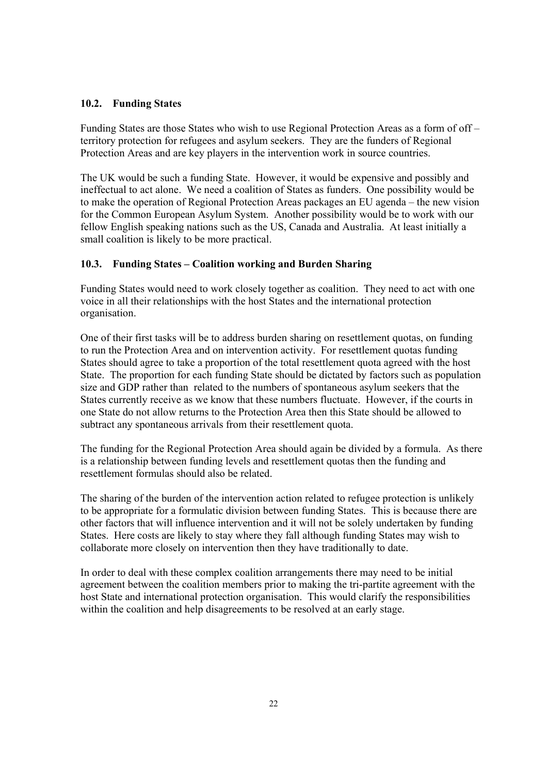## **10.2. Funding States**

Funding States are those States who wish to use Regional Protection Areas as a form of off – territory protection for refugees and asylum seekers. They are the funders of Regional Protection Areas and are key players in the intervention work in source countries.

The UK would be such a funding State. However, it would be expensive and possibly and ineffectual to act alone. We need a coalition of States as funders. One possibility would be to make the operation of Regional Protection Areas packages an EU agenda – the new vision for the Common European Asylum System. Another possibility would be to work with our fellow English speaking nations such as the US, Canada and Australia. At least initially a small coalition is likely to be more practical.

### **10.3. Funding States – Coalition working and Burden Sharing**

Funding States would need to work closely together as coalition. They need to act with one voice in all their relationships with the host States and the international protection organisation.

One of their first tasks will be to address burden sharing on resettlement quotas, on funding to run the Protection Area and on intervention activity. For resettlement quotas funding States should agree to take a proportion of the total resettlement quota agreed with the host State. The proportion for each funding State should be dictated by factors such as population size and GDP rather than related to the numbers of spontaneous asylum seekers that the States currently receive as we know that these numbers fluctuate. However, if the courts in one State do not allow returns to the Protection Area then this State should be allowed to subtract any spontaneous arrivals from their resettlement quota.

The funding for the Regional Protection Area should again be divided by a formula. As there is a relationship between funding levels and resettlement quotas then the funding and resettlement formulas should also be related.

The sharing of the burden of the intervention action related to refugee protection is unlikely to be appropriate for a formulatic division between funding States. This is because there are other factors that will influence intervention and it will not be solely undertaken by funding States. Here costs are likely to stay where they fall although funding States may wish to collaborate more closely on intervention then they have traditionally to date.

In order to deal with these complex coalition arrangements there may need to be initial agreement between the coalition members prior to making the tri-partite agreement with the host State and international protection organisation. This would clarify the responsibilities within the coalition and help disagreements to be resolved at an early stage.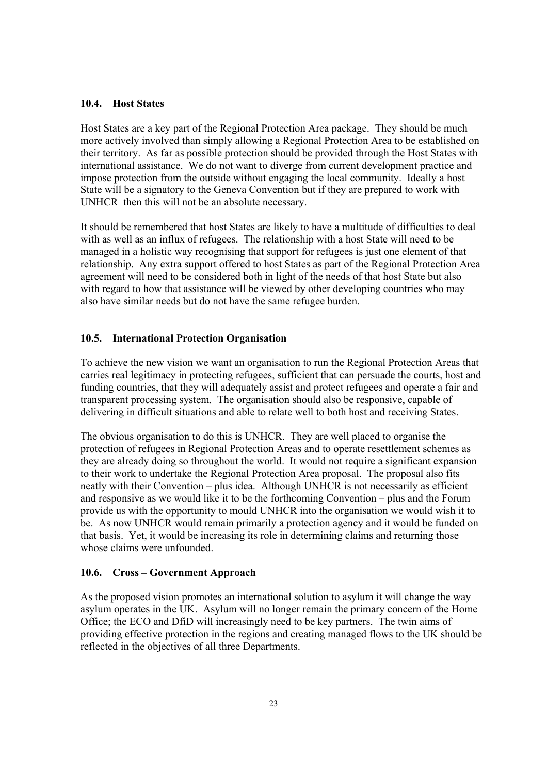### **10.4. Host States**

Host States are a key part of the Regional Protection Area package. They should be much more actively involved than simply allowing a Regional Protection Area to be established on their territory. As far as possible protection should be provided through the Host States with international assistance. We do not want to diverge from current development practice and impose protection from the outside without engaging the local community. Ideally a host State will be a signatory to the Geneva Convention but if they are prepared to work with UNHCR then this will not be an absolute necessary.

It should be remembered that host States are likely to have a multitude of difficulties to deal with as well as an influx of refugees. The relationship with a host State will need to be managed in a holistic way recognising that support for refugees is just one element of that relationship. Any extra support offered to host States as part of the Regional Protection Area agreement will need to be considered both in light of the needs of that host State but also with regard to how that assistance will be viewed by other developing countries who may also have similar needs but do not have the same refugee burden.

### **10.5. International Protection Organisation**

To achieve the new vision we want an organisation to run the Regional Protection Areas that carries real legitimacy in protecting refugees, sufficient that can persuade the courts, host and funding countries, that they will adequately assist and protect refugees and operate a fair and transparent processing system. The organisation should also be responsive, capable of delivering in difficult situations and able to relate well to both host and receiving States.

The obvious organisation to do this is UNHCR. They are well placed to organise the protection of refugees in Regional Protection Areas and to operate resettlement schemes as they are already doing so throughout the world. It would not require a significant expansion to their work to undertake the Regional Protection Area proposal. The proposal also fits neatly with their Convention – plus idea. Although UNHCR is not necessarily as efficient and responsive as we would like it to be the forthcoming Convention – plus and the Forum provide us with the opportunity to mould UNHCR into the organisation we would wish it to be. As now UNHCR would remain primarily a protection agency and it would be funded on that basis. Yet, it would be increasing its role in determining claims and returning those whose claims were unfounded.

#### **10.6. Cross – Government Approach**

As the proposed vision promotes an international solution to asylum it will change the way asylum operates in the UK. Asylum will no longer remain the primary concern of the Home Office; the ECO and DfiD will increasingly need to be key partners. The twin aims of providing effective protection in the regions and creating managed flows to the UK should be reflected in the objectives of all three Departments.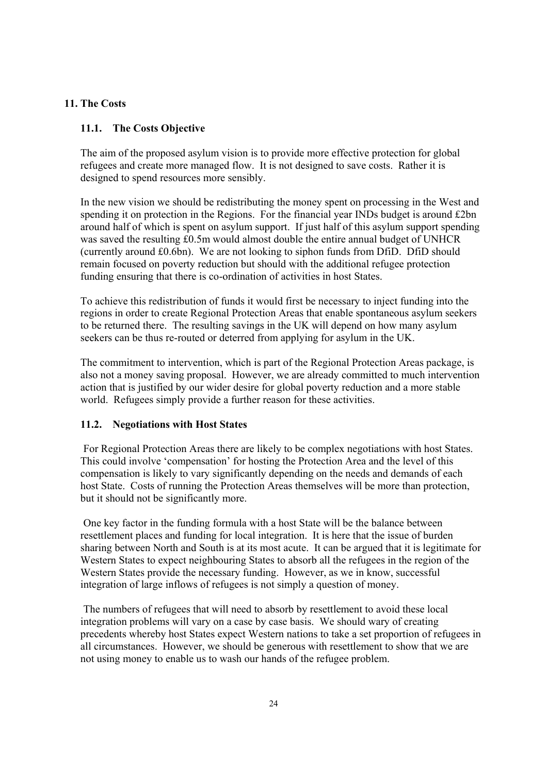## **11. The Costs**

### **11.1. The Costs Objective**

The aim of the proposed asylum vision is to provide more effective protection for global refugees and create more managed flow. It is not designed to save costs. Rather it is designed to spend resources more sensibly.

In the new vision we should be redistributing the money spent on processing in the West and spending it on protection in the Regions. For the financial year INDs budget is around £2bn around half of which is spent on asylum support. If just half of this asylum support spending was saved the resulting £0.5m would almost double the entire annual budget of UNHCR (currently around £0.6bn). We are not looking to siphon funds from DfiD. DfiD should remain focused on poverty reduction but should with the additional refugee protection funding ensuring that there is co-ordination of activities in host States.

To achieve this redistribution of funds it would first be necessary to inject funding into the regions in order to create Regional Protection Areas that enable spontaneous asylum seekers to be returned there. The resulting savings in the UK will depend on how many asylum seekers can be thus re-routed or deterred from applying for asylum in the UK.

The commitment to intervention, which is part of the Regional Protection Areas package, is also not a money saving proposal. However, we are already committed to much intervention action that is justified by our wider desire for global poverty reduction and a more stable world. Refugees simply provide a further reason for these activities.

### **11.2. Negotiations with Host States**

For Regional Protection Areas there are likely to be complex negotiations with host States. This could involve 'compensation' for hosting the Protection Area and the level of this compensation is likely to vary significantly depending on the needs and demands of each host State. Costs of running the Protection Areas themselves will be more than protection, but it should not be significantly more.

One key factor in the funding formula with a host State will be the balance between resettlement places and funding for local integration. It is here that the issue of burden sharing between North and South is at its most acute. It can be argued that it is legitimate for Western States to expect neighbouring States to absorb all the refugees in the region of the Western States provide the necessary funding. However, as we in know, successful integration of large inflows of refugees is not simply a question of money.

The numbers of refugees that will need to absorb by resettlement to avoid these local integration problems will vary on a case by case basis. We should wary of creating precedents whereby host States expect Western nations to take a set proportion of refugees in all circumstances. However, we should be generous with resettlement to show that we are not using money to enable us to wash our hands of the refugee problem.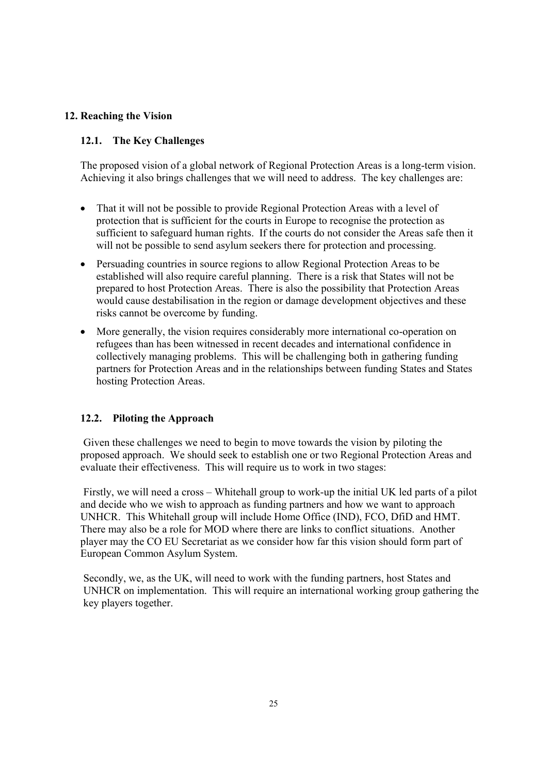## **12. Reaching the Vision**

## **12.1. The Key Challenges**

The proposed vision of a global network of Regional Protection Areas is a long-term vision. Achieving it also brings challenges that we will need to address. The key challenges are:

- That it will not be possible to provide Regional Protection Areas with a level of protection that is sufficient for the courts in Europe to recognise the protection as sufficient to safeguard human rights. If the courts do not consider the Areas safe then it will not be possible to send asylum seekers there for protection and processing.
- Persuading countries in source regions to allow Regional Protection Areas to be established will also require careful planning. There is a risk that States will not be prepared to host Protection Areas. There is also the possibility that Protection Areas would cause destabilisation in the region or damage development objectives and these risks cannot be overcome by funding.
- More generally, the vision requires considerably more international co-operation on refugees than has been witnessed in recent decades and international confidence in collectively managing problems. This will be challenging both in gathering funding partners for Protection Areas and in the relationships between funding States and States hosting Protection Areas.

## **12.2. Piloting the Approach**

Given these challenges we need to begin to move towards the vision by piloting the proposed approach. We should seek to establish one or two Regional Protection Areas and evaluate their effectiveness. This will require us to work in two stages:

Firstly, we will need a cross – Whitehall group to work-up the initial UK led parts of a pilot and decide who we wish to approach as funding partners and how we want to approach UNHCR. This Whitehall group will include Home Office (IND), FCO, DfiD and HMT. There may also be a role for MOD where there are links to conflict situations. Another player may the CO EU Secretariat as we consider how far this vision should form part of European Common Asylum System.

Secondly, we, as the UK, will need to work with the funding partners, host States and UNHCR on implementation. This will require an international working group gathering the key players together.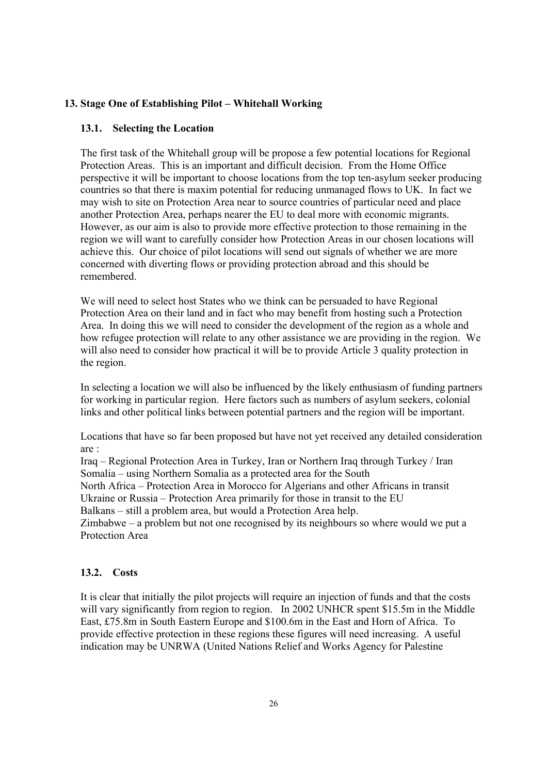## **13. Stage One of Establishing Pilot – Whitehall Working**

## **13.1. Selecting the Location**

The first task of the Whitehall group will be propose a few potential locations for Regional Protection Areas. This is an important and difficult decision. From the Home Office perspective it will be important to choose locations from the top ten-asylum seeker producing countries so that there is maxim potential for reducing unmanaged flows to UK. In fact we may wish to site on Protection Area near to source countries of particular need and place another Protection Area, perhaps nearer the EU to deal more with economic migrants. However, as our aim is also to provide more effective protection to those remaining in the region we will want to carefully consider how Protection Areas in our chosen locations will achieve this. Our choice of pilot locations will send out signals of whether we are more concerned with diverting flows or providing protection abroad and this should be remembered.

We will need to select host States who we think can be persuaded to have Regional Protection Area on their land and in fact who may benefit from hosting such a Protection Area. In doing this we will need to consider the development of the region as a whole and how refugee protection will relate to any other assistance we are providing in the region. We will also need to consider how practical it will be to provide Article 3 quality protection in the region.

In selecting a location we will also be influenced by the likely enthusiasm of funding partners for working in particular region. Here factors such as numbers of asylum seekers, colonial links and other political links between potential partners and the region will be important.

Locations that have so far been proposed but have not yet received any detailed consideration are :

Iraq – Regional Protection Area in Turkey, Iran or Northern Iraq through Turkey / Iran Somalia – using Northern Somalia as a protected area for the South

North Africa – Protection Area in Morocco for Algerians and other Africans in transit Ukraine or Russia – Protection Area primarily for those in transit to the EU

Balkans – still a problem area, but would a Protection Area help.

Zimbabwe – a problem but not one recognised by its neighbours so where would we put a Protection Area

## **13.2. Costs**

It is clear that initially the pilot projects will require an injection of funds and that the costs will vary significantly from region to region. In 2002 UNHCR spent \$15.5m in the Middle East, £75.8m in South Eastern Europe and \$100.6m in the East and Horn of Africa. To provide effective protection in these regions these figures will need increasing. A useful indication may be UNRWA (United Nations Relief and Works Agency for Palestine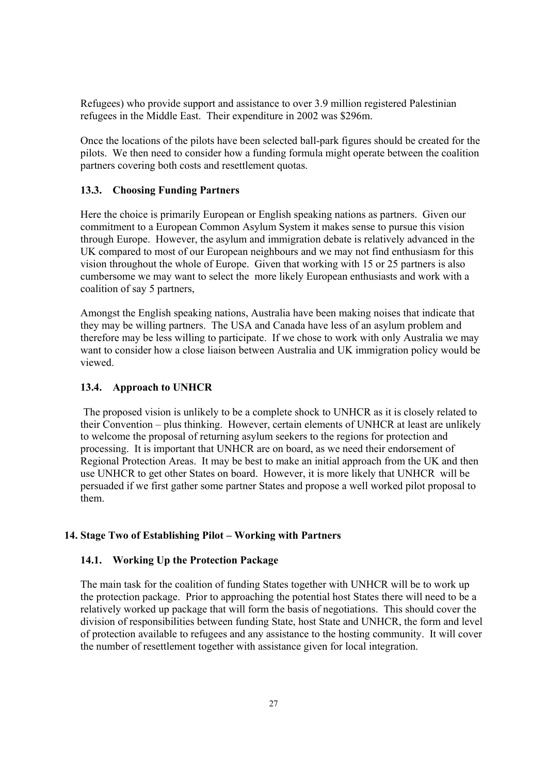Refugees) who provide support and assistance to over 3.9 million registered Palestinian refugees in the Middle East. Their expenditure in 2002 was \$296m.

Once the locations of the pilots have been selected ball-park figures should be created for the pilots. We then need to consider how a funding formula might operate between the coalition partners covering both costs and resettlement quotas.

### **13.3. Choosing Funding Partners**

Here the choice is primarily European or English speaking nations as partners. Given our commitment to a European Common Asylum System it makes sense to pursue this vision through Europe. However, the asylum and immigration debate is relatively advanced in the UK compared to most of our European neighbours and we may not find enthusiasm for this vision throughout the whole of Europe. Given that working with 15 or 25 partners is also cumbersome we may want to select the more likely European enthusiasts and work with a coalition of say 5 partners,

Amongst the English speaking nations, Australia have been making noises that indicate that they may be willing partners. The USA and Canada have less of an asylum problem and therefore may be less willing to participate. If we chose to work with only Australia we may want to consider how a close liaison between Australia and UK immigration policy would be viewed.

#### **13.4. Approach to UNHCR**

The proposed vision is unlikely to be a complete shock to UNHCR as it is closely related to their Convention – plus thinking. However, certain elements of UNHCR at least are unlikely to welcome the proposal of returning asylum seekers to the regions for protection and processing. It is important that UNHCR are on board, as we need their endorsement of Regional Protection Areas. It may be best to make an initial approach from the UK and then use UNHCR to get other States on board. However, it is more likely that UNHCR will be persuaded if we first gather some partner States and propose a well worked pilot proposal to them.

## **14. Stage Two of Establishing Pilot – Working with Partners**

#### **14.1. Working Up the Protection Package**

The main task for the coalition of funding States together with UNHCR will be to work up the protection package. Prior to approaching the potential host States there will need to be a relatively worked up package that will form the basis of negotiations. This should cover the division of responsibilities between funding State, host State and UNHCR, the form and level of protection available to refugees and any assistance to the hosting community. It will cover the number of resettlement together with assistance given for local integration.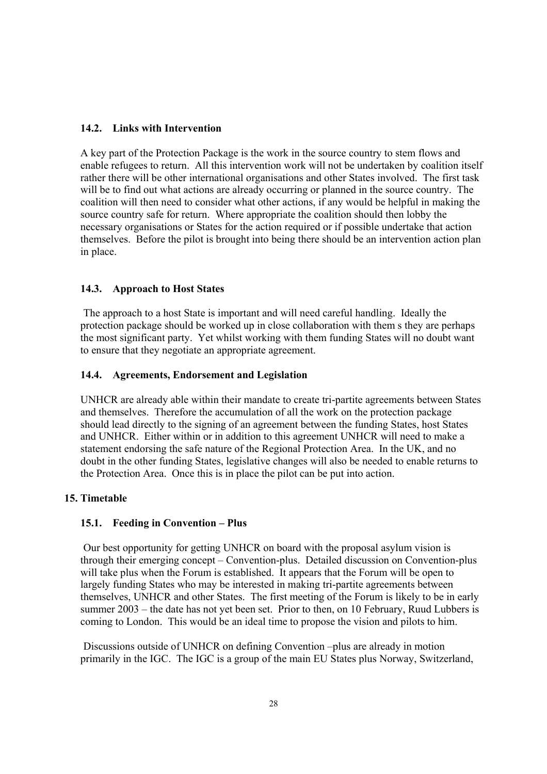## **14.2. Links with Intervention**

A key part of the Protection Package is the work in the source country to stem flows and enable refugees to return. All this intervention work will not be undertaken by coalition itself rather there will be other international organisations and other States involved. The first task will be to find out what actions are already occurring or planned in the source country. The coalition will then need to consider what other actions, if any would be helpful in making the source country safe for return. Where appropriate the coalition should then lobby the necessary organisations or States for the action required or if possible undertake that action themselves. Before the pilot is brought into being there should be an intervention action plan in place.

## **14.3. Approach to Host States**

The approach to a host State is important and will need careful handling. Ideally the protection package should be worked up in close collaboration with them s they are perhaps the most significant party. Yet whilst working with them funding States will no doubt want to ensure that they negotiate an appropriate agreement.

## **14.4. Agreements, Endorsement and Legislation**

UNHCR are already able within their mandate to create tri-partite agreements between States and themselves. Therefore the accumulation of all the work on the protection package should lead directly to the signing of an agreement between the funding States, host States and UNHCR. Either within or in addition to this agreement UNHCR will need to make a statement endorsing the safe nature of the Regional Protection Area. In the UK, and no doubt in the other funding States, legislative changes will also be needed to enable returns to the Protection Area. Once this is in place the pilot can be put into action.

## **15. Timetable**

## **15.1. Feeding in Convention – Plus**

Our best opportunity for getting UNHCR on board with the proposal asylum vision is through their emerging concept – Convention-plus. Detailed discussion on Convention-plus will take plus when the Forum is established. It appears that the Forum will be open to largely funding States who may be interested in making tri-partite agreements between themselves, UNHCR and other States. The first meeting of the Forum is likely to be in early summer 2003 – the date has not yet been set. Prior to then, on 10 February, Ruud Lubbers is coming to London. This would be an ideal time to propose the vision and pilots to him.

Discussions outside of UNHCR on defining Convention –plus are already in motion primarily in the IGC. The IGC is a group of the main EU States plus Norway, Switzerland,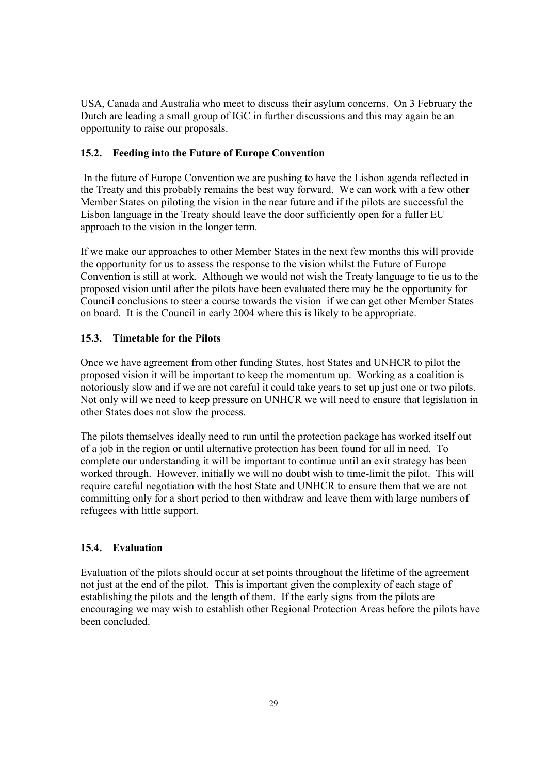USA, Canada and Australia who meet to discuss their asylum concerns. On 3 February the Dutch are leading a small group of IGC in further discussions and this may again be an opportunity to raise our proposals.

## **15.2. Feeding into the Future of Europe Convention**

In the future of Europe Convention we are pushing to have the Lisbon agenda reflected in the Treaty and this probably remains the best way forward. We can work with a few other Member States on piloting the vision in the near future and if the pilots are successful the Lisbon language in the Treaty should leave the door sufficiently open for a fuller EU approach to the vision in the longer term.

If we make our approaches to other Member States in the next few months this will provide the opportunity for us to assess the response to the vision whilst the Future of Europe Convention is still at work. Although we would not wish the Treaty language to tie us to the proposed vision until after the pilots have been evaluated there may be the opportunity for Council conclusions to steer a course towards the vision if we can get other Member States on board. It is the Council in early 2004 where this is likely to be appropriate.

## **15.3. Timetable for the Pilots**

Once we have agreement from other funding States, host States and UNHCR to pilot the proposed vision it will be important to keep the momentum up. Working as a coalition is notoriously slow and if we are not careful it could take years to set up just one or two pilots. Not only will we need to keep pressure on UNHCR we will need to ensure that legislation in other States does not slow the process.

The pilots themselves ideally need to run until the protection package has worked itself out of a job in the region or until alternative protection has been found for all in need. To complete our understanding it will be important to continue until an exit strategy has been worked through. However, initially we will no doubt wish to time-limit the pilot. This will require careful negotiation with the host State and UNHCR to ensure them that we are not committing only for a short period to then withdraw and leave them with large numbers of refugees with little support.

# **15.4. Evaluation**

Evaluation of the pilots should occur at set points throughout the lifetime of the agreement not just at the end of the pilot. This is important given the complexity of each stage of establishing the pilots and the length of them. If the early signs from the pilots are encouraging we may wish to establish other Regional Protection Areas before the pilots have been concluded.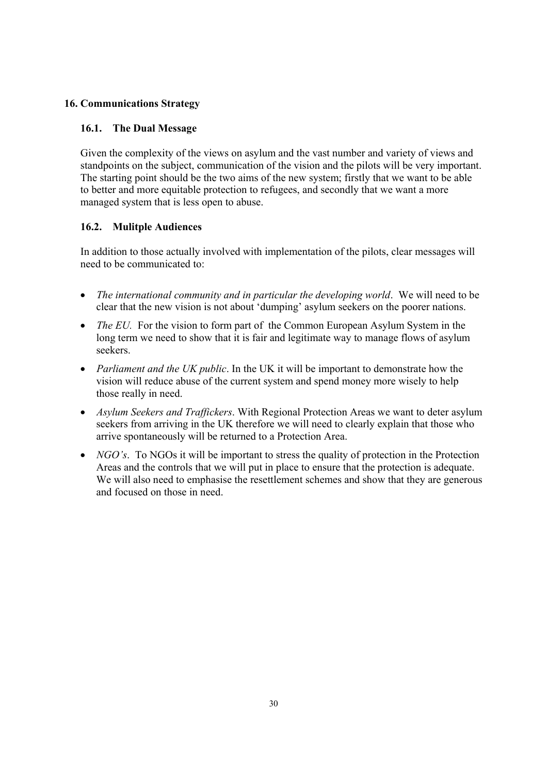# **16. Communications Strategy**

## **16.1. The Dual Message**

Given the complexity of the views on asylum and the vast number and variety of views and standpoints on the subject, communication of the vision and the pilots will be very important. The starting point should be the two aims of the new system; firstly that we want to be able to better and more equitable protection to refugees, and secondly that we want a more managed system that is less open to abuse.

## **16.2. Mulitple Audiences**

In addition to those actually involved with implementation of the pilots, clear messages will need to be communicated to:

- *The international community and in particular the developing world*. We will need to be clear that the new vision is not about 'dumping' asylum seekers on the poorer nations.
- *The EU*. For the vision to form part of the Common European Asylum System in the long term we need to show that it is fair and legitimate way to manage flows of asylum seekers.
- *Parliament and the UK public*. In the UK it will be important to demonstrate how the vision will reduce abuse of the current system and spend money more wisely to help those really in need.
- *Asylum Seekers and Traffickers*. With Regional Protection Areas we want to deter asylum seekers from arriving in the UK therefore we will need to clearly explain that those who arrive spontaneously will be returned to a Protection Area.
- *NGO's*. To NGOs it will be important to stress the quality of protection in the Protection Areas and the controls that we will put in place to ensure that the protection is adequate. We will also need to emphasise the resettlement schemes and show that they are generous and focused on those in need.